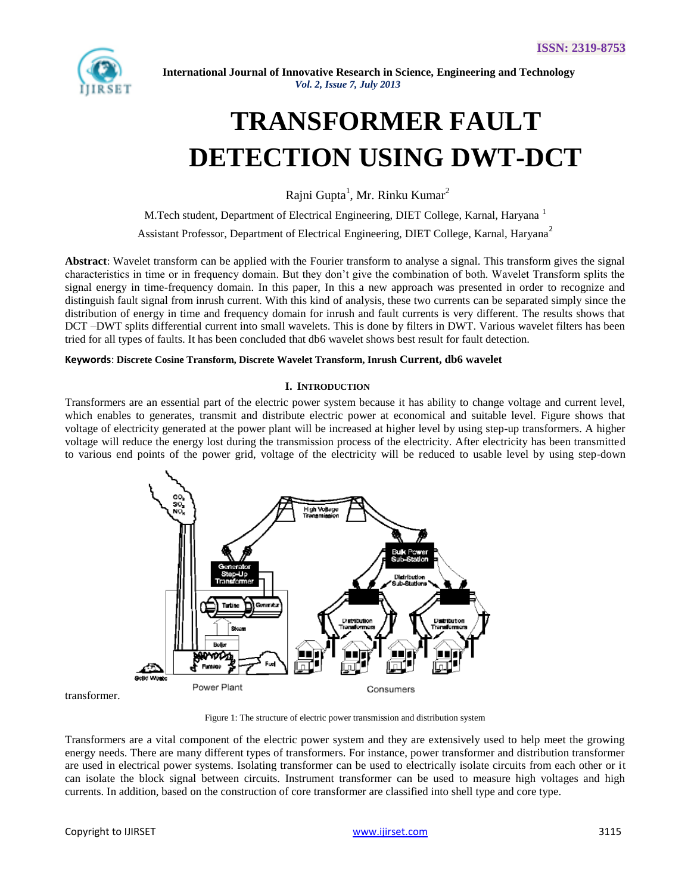

# **TRANSFORMER FAULT DETECTION USING DWT-DCT**

Rajni Gupta<sup>1</sup>, Mr. Rinku Kumar<sup>2</sup>

M.Tech student, Department of Electrical Engineering, DIET College, Karnal, Haryana <sup>1</sup> Assistant Professor, Department of Electrical Engineering, DIET College, Karnal, Haryana<sup>2</sup>

**Abstract**: Wavelet transform can be applied with the Fourier transform to analyse a signal. This transform gives the signal characteristics in time or in frequency domain. But they don"t give the combination of both. Wavelet Transform splits the signal energy in time-frequency domain. In this paper, In this a new approach was presented in order to recognize and distinguish fault signal from inrush current. With this kind of analysis, these two currents can be separated simply since the distribution of energy in time and frequency domain for inrush and fault currents is very different. The results shows that DCT –DWT splits differential current into small wavelets. This is done by filters in DWT. Various wavelet filters has been tried for all types of faults. It has been concluded that db6 wavelet shows best result for fault detection.

## **Keywords**: **Discrete Cosine Transform, Discrete Wavelet Transform, Inrush Current, db6 wavelet**

#### **I. INTRODUCTION**

Transformers are an essential part of the electric power system because it has ability to change voltage and current level, which enables to generates, transmit and distribute electric power at economical and suitable level. Figure shows that voltage of electricity generated at the power plant will be increased at higher level by using step-up transformers. A higher voltage will reduce the energy lost during the transmission process of the electricity. After electricity has been transmitted to various end points of the power grid, voltage of the electricity will be reduced to usable level by using step-down



transformer.

Figure 1: The structure of electric power transmission and distribution system

Transformers are a vital component of the electric power system and they are extensively used to help meet the growing energy needs. There are many different types of transformers. For instance, power transformer and distribution transformer are used in electrical power systems. Isolating transformer can be used to electrically isolate circuits from each other or it can isolate the block signal between circuits. Instrument transformer can be used to measure high voltages and high currents. In addition, based on the construction of core transformer are classified into shell type and core type.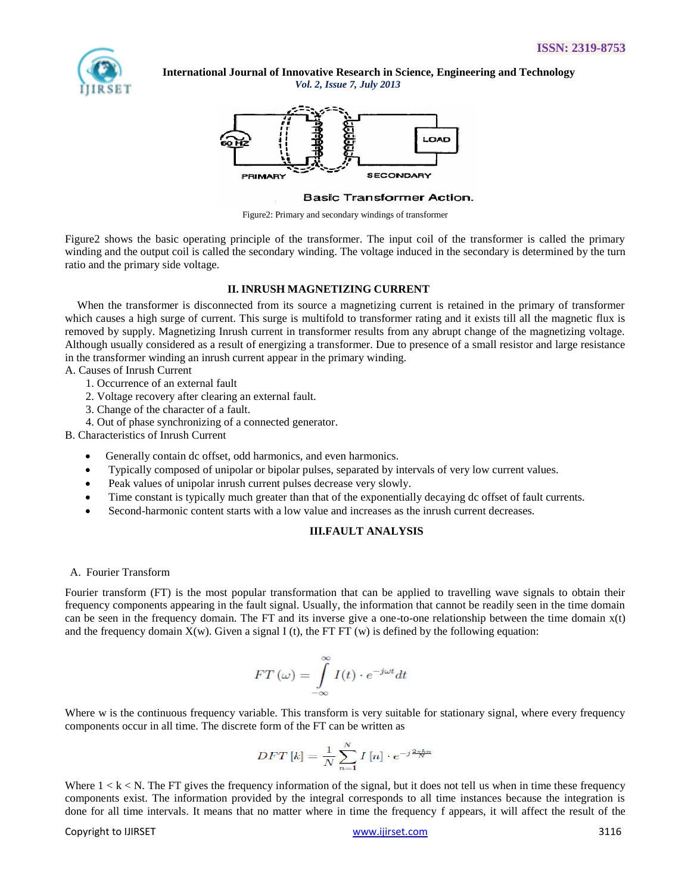

 **International Journal of Innovative Research in Science, Engineering and Technology**

*Vol. 2, Issue 7, July 2013*



#### **Basic Transformer Action.**

Figure2: Primary and secondary windings of transformer

Figure2 shows the basic operating principle of the transformer. The input coil of the transformer is called the primary winding and the output coil is called the secondary winding. The voltage induced in the secondary is determined by the turn ratio and the primary side voltage.

#### **II. INRUSH MAGNETIZING CURRENT**

When the transformer is disconnected from its source a magnetizing current is retained in the primary of transformer which causes a high surge of current. This surge is multifold to transformer rating and it exists till all the magnetic flux is removed by supply. Magnetizing Inrush current in transformer results from any abrupt change of the magnetizing voltage. Although usually considered as a result of energizing a transformer. Due to presence of a small resistor and large resistance in the transformer winding an inrush current appear in the primary winding.

A. Causes of Inrush Current

- 1. Occurrence of an external fault
- 2. Voltage recovery after clearing an external fault.
- 3. Change of the character of a fault.
- 4. Out of phase synchronizing of a connected generator.

B. Characteristics of Inrush Current

- Generally contain dc offset, odd harmonics, and even harmonics.
- Typically composed of unipolar or bipolar pulses, separated by intervals of very low current values.
- Peak values of unipolar inrush current pulses decrease very slowly.
- Time constant is typically much greater than that of the exponentially decaying dc offset of fault currents.
- Second-harmonic content starts with a low value and increases as the inrush current decreases.

#### **III.FAULT ANALYSIS**

### A. Fourier Transform

Fourier transform (FT) is the most popular transformation that can be applied to travelling wave signals to obtain their frequency components appearing in the fault signal. Usually, the information that cannot be readily seen in the time domain can be seen in the frequency domain. The FT and its inverse give a one-to-one relationship between the time domain x(t) and the frequency domain  $X(w)$ . Given a signal I (t), the FT FT (w) is defined by the following equation:

$$
FT\left(\omega\right) = \int\limits_{-\infty}^{\infty} I(t) \cdot e^{-j\omega t} dt
$$

Where w is the continuous frequency variable. This transform is very suitable for stationary signal, where every frequency components occur in all time. The discrete form of the FT can be written as

$$
DFT\left[k\right] = \frac{1}{N} \sum_{n=1}^{N} I\left[n\right] \cdot e^{-j\frac{2\pi kn}{N}}
$$

Where  $1 < k < N$ . The FT gives the frequency information of the signal, but it does not tell us when in time these frequency components exist. The information provided by the integral corresponds to all time instances because the integration is done for all time intervals. It means that no matter where in time the frequency f appears, it will affect the result of the

#### Copyright to IJIRSET [www.ijirset.com](http://www.ijirset.com/) 3116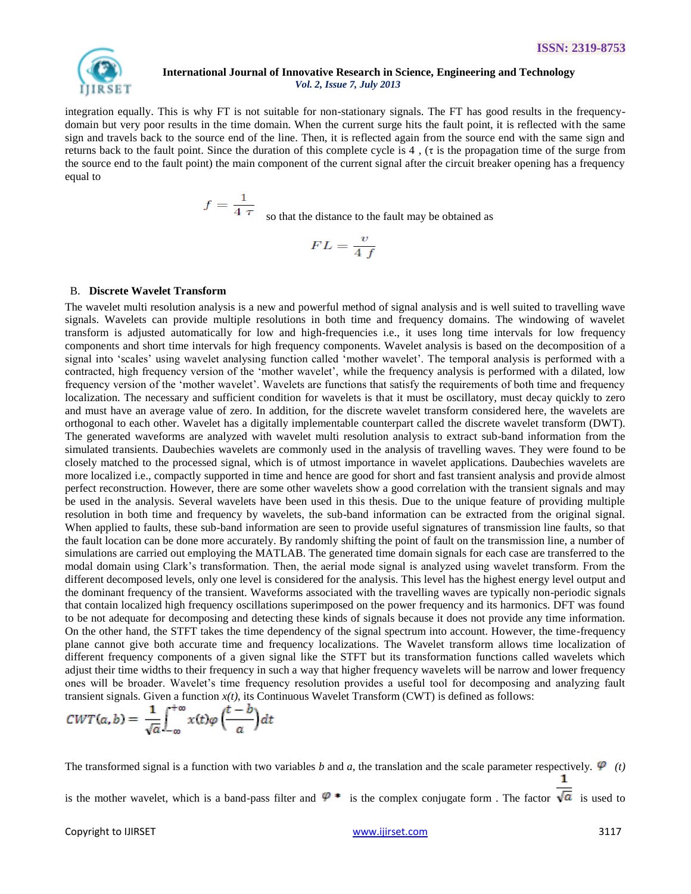

integration equally. This is why FT is not suitable for non-stationary signals. The FT has good results in the frequencydomain but very poor results in the time domain. When the current surge hits the fault point, it is reflected with the same sign and travels back to the source end of the line. Then, it is reflected again from the source end with the same sign and returns back to the fault point. Since the duration of this complete cycle is 4 , (τ is the propagation time of the surge from the source end to the fault point) the main component of the current signal after the circuit breaker opening has a frequency equal to

 $s = \frac{1}{4 \tau}$  so that the distance to the fault may be obtained as

$$
FL = \frac{v}{4\ f}
$$

#### B. **Discrete Wavelet Transform**

The wavelet multi resolution analysis is a new and powerful method of signal analysis and is well suited to travelling wave signals. Wavelets can provide multiple resolutions in both time and frequency domains. The windowing of wavelet transform is adjusted automatically for low and high-frequencies i.e., it uses long time intervals for low frequency components and short time intervals for high frequency components. Wavelet analysis is based on the decomposition of a signal into 'scales' using wavelet analysing function called 'mother wavelet'. The temporal analysis is performed with a contracted, high frequency version of the "mother wavelet", while the frequency analysis is performed with a dilated, low frequency version of the "mother wavelet". Wavelets are functions that satisfy the requirements of both time and frequency localization. The necessary and sufficient condition for wavelets is that it must be oscillatory, must decay quickly to zero and must have an average value of zero. In addition, for the discrete wavelet transform considered here, the wavelets are orthogonal to each other. Wavelet has a digitally implementable counterpart called the discrete wavelet transform (DWT). The generated waveforms are analyzed with wavelet multi resolution analysis to extract sub-band information from the simulated transients. Daubechies wavelets are commonly used in the analysis of travelling waves. They were found to be closely matched to the processed signal, which is of utmost importance in wavelet applications. Daubechies wavelets are more localized i.e., compactly supported in time and hence are good for short and fast transient analysis and provide almost perfect reconstruction. However, there are some other wavelets show a good correlation with the transient signals and may be used in the analysis. Several wavelets have been used in this thesis. Due to the unique feature of providing multiple resolution in both time and frequency by wavelets, the sub-band information can be extracted from the original signal. When applied to faults, these sub-band information are seen to provide useful signatures of transmission line faults, so that the fault location can be done more accurately. By randomly shifting the point of fault on the transmission line, a number of simulations are carried out employing the MATLAB. The generated time domain signals for each case are transferred to the modal domain using Clark"s transformation. Then, the aerial mode signal is analyzed using wavelet transform. From the different decomposed levels, only one level is considered for the analysis. This level has the highest energy level output and the dominant frequency of the transient. Waveforms associated with the travelling waves are typically non-periodic signals that contain localized high frequency oscillations superimposed on the power frequency and its harmonics. DFT was found to be not adequate for decomposing and detecting these kinds of signals because it does not provide any time information. On the other hand, the STFT takes the time dependency of the signal spectrum into account. However, the time-frequency plane cannot give both accurate time and frequency localizations. The Wavelet transform allows time localization of different frequency components of a given signal like the STFT but its transformation functions called wavelets which adjust their time widths to their frequency in such a way that higher frequency wavelets will be narrow and lower frequency ones will be broader. Wavelet"s time frequency resolution provides a useful tool for decomposing and analyzing fault transient signals. Given a function *x(t)*, its Continuous Wavelet Transform (CWT) is defined as follows:

$$
CWT(a,b) = \frac{1}{\sqrt{a}} \int_{-\infty}^{+\infty} x(t) \varphi \left(\frac{t-b}{a}\right) dt
$$

The transformed signal is a function with two variables *b* and *a*, the translation and the scale parameter respectively.  $\varphi$  (*t*) is the mother wavelet, which is a band-pass filter and  $\varphi$  \* is the complex conjugate form . The factor  $\overline{\sqrt{a}}$  is used to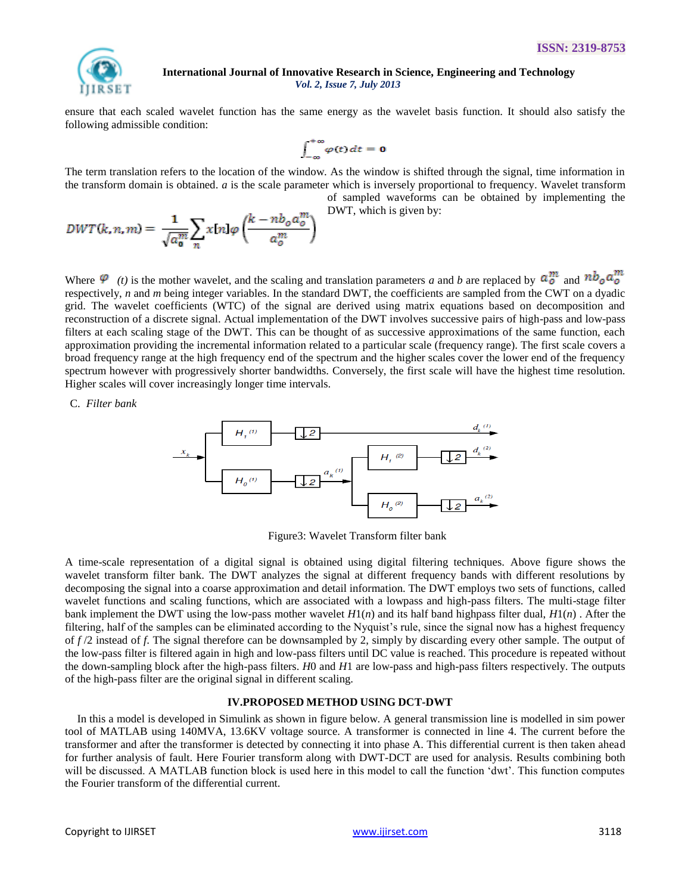

ensure that each scaled wavelet function has the same energy as the wavelet basis function. It should also satisfy the following admissible condition:

$$
\int_{-\infty}^{+\infty} \varphi(t) \, dt = \mathbf{0}
$$

The term translation refers to the location of the window. As the window is shifted through the signal, time information in the transform domain is obtained. *a* is the scale parameter which is inversely proportional to frequency. Wavelet transform of sampled waveforms can be obtained by implementing the

DWT, which is given by:

$$
DWT(k, n, m) = \frac{1}{\sqrt{a_0^m}} \sum_n x[n] \varphi\left(\frac{k - nb_0 a_0^m}{a_0^m}\right)
$$

Where  $\varphi$  (*t*) is the mother wavelet, and the scaling and translation parameters *a* and *b* are replaced by  $a_0^m$  and  $nb_0 a_0^m$ respectively, *n* and *m* being integer variables. In the standard DWT, the coefficients are sampled from the CWT on a dyadic grid. The wavelet coefficients (WTC) of the signal are derived using matrix equations based on decomposition and reconstruction of a discrete signal. Actual implementation of the DWT involves successive pairs of high-pass and low-pass filters at each scaling stage of the DWT. This can be thought of as successive approximations of the same function, each approximation providing the incremental information related to a particular scale (frequency range). The first scale covers a broad frequency range at the high frequency end of the spectrum and the higher scales cover the lower end of the frequency spectrum however with progressively shorter bandwidths. Conversely, the first scale will have the highest time resolution. Higher scales will cover increasingly longer time intervals.

C. *Filter bank*



Figure3: Wavelet Transform filter bank

A time-scale representation of a digital signal is obtained using digital filtering techniques. Above figure shows the wavelet transform filter bank. The DWT analyzes the signal at different frequency bands with different resolutions by decomposing the signal into a coarse approximation and detail information. The DWT employs two sets of functions, called wavelet functions and scaling functions, which are associated with a lowpass and high-pass filters. The multi-stage filter bank implement the DWT using the low-pass mother wavelet *H*1(*n*) and its half band highpass filter dual, *H*1(*n*) . After the filtering, half of the samples can be eliminated according to the Nyquist's rule, since the signal now has a highest frequency of *f* /2 instead of *f*. The signal therefore can be downsampled by 2, simply by discarding every other sample. The output of the low-pass filter is filtered again in high and low-pass filters until DC value is reached. This procedure is repeated without the down-sampling block after the high-pass filters. *H*0 and *H*1 are low-pass and high-pass filters respectively. The outputs of the high-pass filter are the original signal in different scaling.

# **IV.PROPOSED METHOD USING DCT-DWT**

In this a model is developed in Simulink as shown in figure below. A general transmission line is modelled in sim power tool of MATLAB using 140MVA, 13.6KV voltage source. A transformer is connected in line 4. The current before the transformer and after the transformer is detected by connecting it into phase A. This differential current is then taken ahead for further analysis of fault. Here Fourier transform along with DWT-DCT are used for analysis. Results combining both will be discussed. A MATLAB function block is used here in this model to call the function "dwt". This function computes the Fourier transform of the differential current.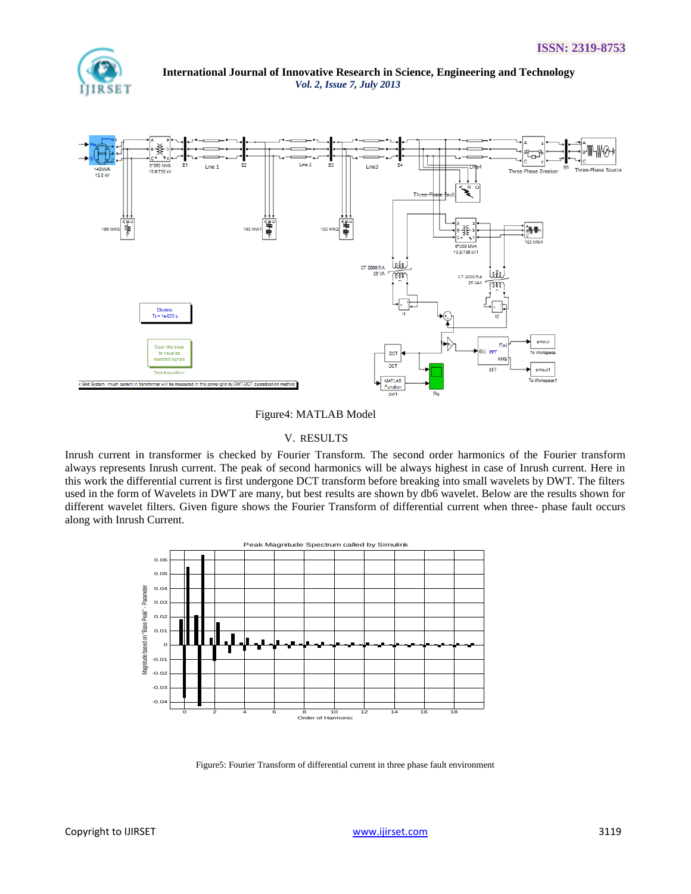

 **International Journal of Innovative Research in Science, Engineering and Technology** *Vol. 2, Issue 7, July 2013* Line 2 B3 Line3 Line 13.8/735 KV Three-Phase Breaker



Figure4: MATLAB Model

# V. RESULTS

Inrush current in transformer is checked by Fourier Transform. The second order harmonics of the Fourier transform always represents Inrush current. The peak of second harmonics will be always highest in case of Inrush current. Here in this work the differential current is first undergone DCT transform before breaking into small wavelets by DWT. The filters used in the form of Wavelets in DWT are many, but best results are shown by db6 wavelet. Below are the results shown for different wavelet filters. Given figure shows the Fourier Transform of differential current when three- phase fault occurs along with Inrush Current.



Figure5: Fourier Transform of differential current in three phase fault environment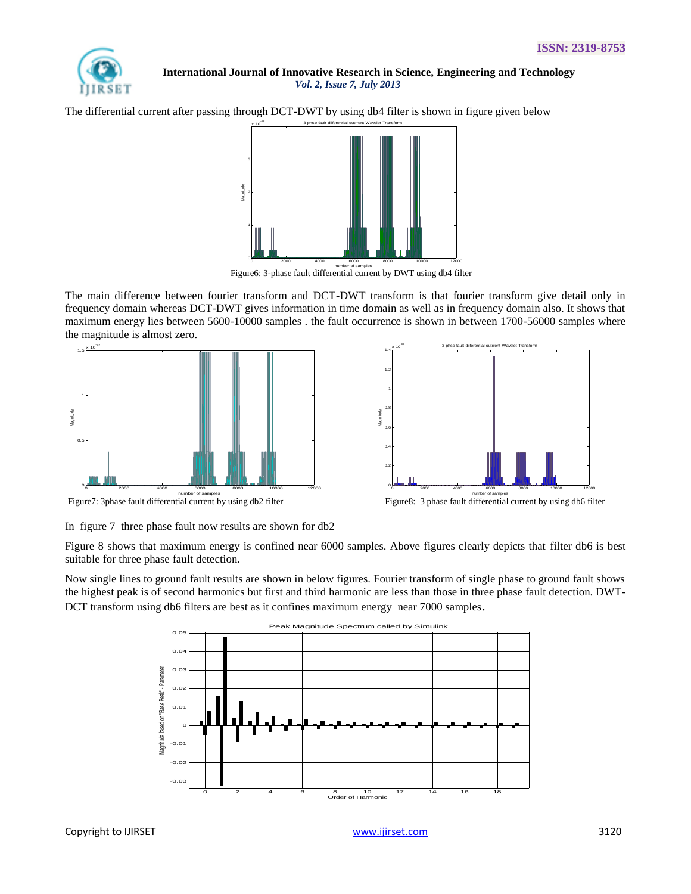

The differential current after passing through DCT-DWT by using db4 filter is shown in figure given below



Figure6: 3-phase fault differential current by DWT using db4 filter

The main difference between fourier transform and DCT-DWT transform is that fourier transform give detail only in frequency domain whereas DCT-DWT gives information in time domain as well as in frequency domain also. It shows that maximum energy lies between 5600-10000 samples . the fault occurrence is shown in between 1700-56000 samples where the magnitude is almost zero.





In figure 7 three phase fault now results are shown for db2

Figure 8 shows that maximum energy is confined near 6000 samples. Above figures clearly depicts that filter db6 is best suitable for three phase fault detection.

Now single lines to ground fault results are shown in below figures. Fourier transform of single phase to ground fault shows the highest peak is of second harmonics but first and third harmonic are less than those in three phase fault detection. DWT-DCT transform using db6 filters are best as it confines maximum energy near 7000 samples.

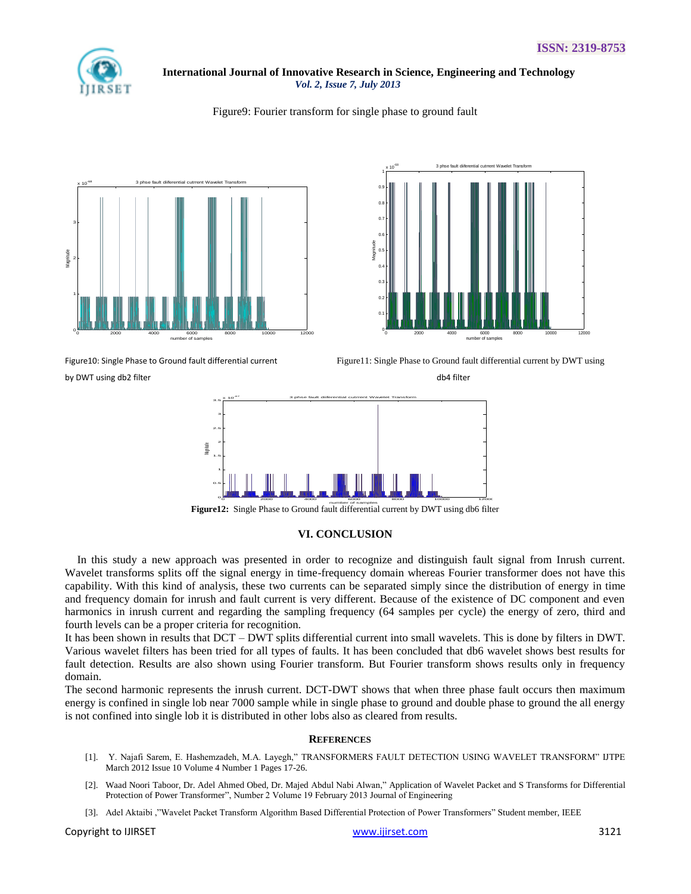

## Figure9: Fourier transform for single phase to ground fault







by DWT using db2 filter db4 filter db4 filter db4 filter db4 filter db4 filter db4 filter

Figure10: Single Phase to Ground fault differential current Figure11: Single Phase to Ground fault differential current by DWT using



Figure12: Single Phase to Ground fault differential current by DWT using db6 filter

# **VI. CONCLUSION**

In this study a new approach was presented in order to recognize and distinguish fault signal from Inrush current. Wavelet transforms splits off the signal energy in time-frequency domain whereas Fourier transformer does not have this capability. With this kind of analysis, these two currents can be separated simply since the distribution of energy in time and frequency domain for inrush and fault current is very different. Because of the existence of DC component and even harmonics in inrush current and regarding the sampling frequency (64 samples per cycle) the energy of zero, third and fourth levels can be a proper criteria for recognition.

It has been shown in results that DCT – DWT splits differential current into small wavelets. This is done by filters in DWT. Various wavelet filters has been tried for all types of faults. It has been concluded that db6 wavelet shows best results for fault detection. Results are also shown using Fourier transform. But Fourier transform shows results only in frequency domain.

The second harmonic represents the inrush current. DCT-DWT shows that when three phase fault occurs then maximum energy is confined in single lob near 7000 sample while in single phase to ground and double phase to ground the all energy is not confined into single lob it is distributed in other lobs also as cleared from results.

# **REFERENCES**

- [1]. Y. Najafi Sarem, E. Hashemzadeh, M.A. Layegh," TRANSFORMERS FAULT DETECTION USING WAVELET TRANSFORM" IJTPE March 2012 Issue 10 Volume 4 Number 1 Pages 17-26.
- [2]. Waad Noori Taboor, Dr. Adel Ahmed Obed, Dr. Majed Abdul Nabi Alwan," Application of Wavelet Packet and S Transforms for Differential Protection of Power Transformer", Number 2 Volume 19 February 2013 Journal of Engineering
- [3]. Adel Aktaibi ,"Wavelet Packet Transform Algorithm Based Differential Protection of Power Transformers" Student member, IEEE